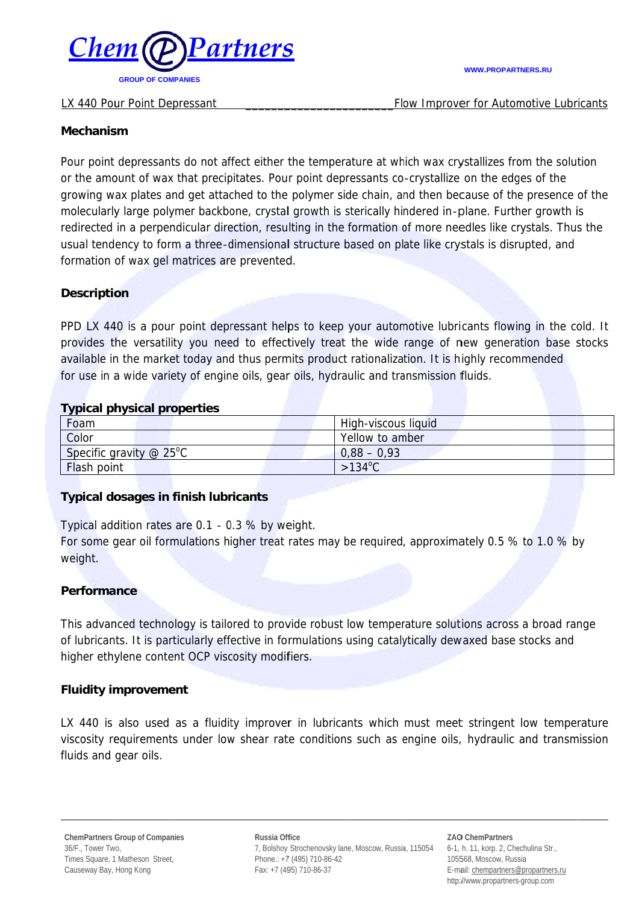

#### LX 440 Pour Point Depressant

#### **WWW.PROPARTNERS.RU**

Flow Improver for Automotive Lubricants

### **Mechanism**

Pour point depressants do not affect either the temperature at which wax crystallizes from the solution or the amount of wax that precipitates. Pour point depressants co-crystallize on the edges of the growing wax plates and get attached to the polymer side chain, and then because of the presence of the molecularly large polymer backbone, crystal growth is sterically hindered in-plane. Further growth is redirected in a perpendicular direction, resulting in the formation of more needles like crystals. Thus the usual tendency to form a three-dimensional structure based on plate like crystals is disrupted, and formation of wax gel matrices are prevented.

## **Description**

PPD LX 440 is a pour point depressant helps to keep your automotive lubricants flowing in the cold. It provides the versatility you need to effectively treat the wide range of new generation base stocks available in the market today and thus permits product rationalization. It is highly recommended for use in a wide variety of engine oils, gear oils, hydraulic and transmission fluids.

### **Typical physical properties**

| Foam                                   | High-viscous liquid |
|----------------------------------------|---------------------|
| Color                                  | Yellow to amber     |
| Specific gravity $@$ 25 <sup>o</sup> C | $0,88 - 0,93$       |
| <b>Flash point</b>                     | $>134^{\circ}$ C    |

### **Typical dosages in finish lubricants**

Typical addition rates are 0.1 - 0.3 % by weight.

For some gear oil formulations higher treat rates may be required, approximately 0.5 % to 1.0 % by weight.

### **Performance**

This advanced technology is tailored to provide robust low temperature solutions across a broad range of lubricants. It is particularly effective in formulations using catalytically dewaxed base stocks and higher ethylene content OCP viscosity modifiers.

### **Fluidity improvement**

LX 440 is also used as a fluidity improver in lubricants which must meet stringent low temperature viscosity requirements under low shear rate conditions such as engine oils, hydraulic and transmission fluids and gear oils.

Russia Office 7, Bolshoy Strochenovsky lane, Moscow, Russia, 115054 Phone.: +7 (495) 710-86-42 Fax: +7 (495) 710-86-37

**ZAO ChemPartners** 6-1, h. 11, korp. 2, Chechulina Str., 105568, Moscow, Russia E-mail: chempartners@propartners.ru http://www.propartners-group.com